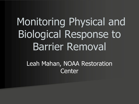# Monitoring Physical and Biological Response to Barrier Removal

Leah Mahan, NOAA Restoration **Center**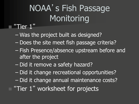### NOAA's Fish Passage **Monitoring**

#### "Tier 1"

■

- Was the project built as designed?
- Does the site meet fish passage criteria?
- Fish Presence/absence upstream before and after the project
- Did it remove a safety hazard?
- Did it change recreational opportunities?
- Did it change annual maintenance costs?
- **T** "Tier 1" worksheet for projects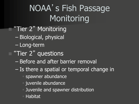### NOAA's Fish Passage Monitoring

- **T** "Tier 2" Monitoring
	- Biological, physical
	- Long-term
- **T** "Tier 2" questions
	- Before and after barrier removal
	- Is there a spatial or temporal change in
		- spawner abundance
		- **u** juvenile abundance
		- Juvenile and spawner distribution
		- Habitat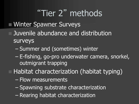### "Tier 2" methods

#### **Ninter Spawner Surveys**

- Juvenile abundance and distribution surveys
	- Summer and (sometimes) winter
	- E-fishing, go-pro underwater camera, snorkel, outmigrant trapping
- Habitat characterization (habitat typing)
	- Flow measurements
	- Spawning substrate characterization
	- Rearing habitat characterization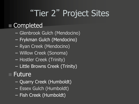# "Tier 2" Project Sites

#### **Completed**

- Glenbrook Gulch (Mendocino)
- Frykman Gulch (Mendocino)
- Ryan Creek (Mendocino)
- Willow Creek (Sonoma)
- Hostler Creek (Trinity)
- Little Browns Creek (Trinity)

#### Future

- Quarry Creek (Humboldt)
- Essex Gulch (Humboldt)
- Fish Creek (Humboldt)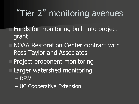## "Tier 2" monitoring avenues

- **Funds for monitoring built into project** grant
	- NOAA Restoration Center contract with Ross Taylor and Associates
	- Project proponent monitoring
	- Larger watershed monitoring
		- DFW
		- UC Cooperative Extension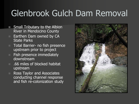### Glenbrook Gulch Dam Removal

- **Small Tributary to the Albion** River in Mendocino County
- **Earthen Dam owned by CA** State Parks
- Total Barrier- no fish presence upstream prior to project
- Fish presence immediately downstream
- .66 miles of blocked habitat upstream
- Ross Taylor and Associates conducting channel response and fish re-colonization study

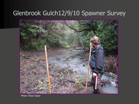#### Glenbrook Gulch12/9/10 Spawner Survey



Photo: Ross Taylor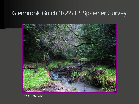#### Glenbrook Gulch 3/22/12 Spawner Survey



Photo: Ross Taylor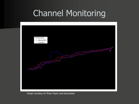#### Channel Monitoring



Graph courtesy of: Ross Taylor and Associates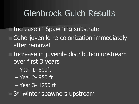#### Glenbrook Gulch Results

 Increase in Spawning substrate Coho juvenile re-colonization immediately after removal

 Increase in juvenile distribution upstream over first 3 years

- Year 1- 800ft
- Year 2- 950 ft
- Year 3- 1250 ft

□ 3<sup>rd</sup> winter spawners upstream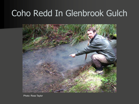#### Coho Redd In Glenbrook Gulch



Photo: Ross Taylor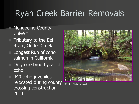### Ryan Creek Barrier Removals

- **Mendocino County Culvert**
- Tributary to the Eel River, Outlet Creek
- Longest Run of coho salmon in California
- Only one brood year of coho
- 440 coho juveniles relocated during county crossing construction 2011



Photo: Christine Jordan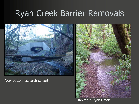#### Ryan Creek Barrier Removals



New bottomless arch culvert

Habitat in Ryan Creek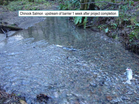**Ryan Chinook Salmon upstream of barrier 1 week after project completion** 

9/24/2012 12:00:00 12:00:00 12:00:00 12:00:00 12:00:00 12:00:00 12:00:00 12:00:00 12:00:00 12:00:00 12:00:00 1

• Insert Photo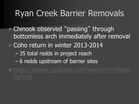#### Ryan Creek Barrier Removals

 Chinook observed "passing" through bottomless arch immediately after removal Coho return in winter 2013-2014 – 35 total redds in project reach – 6 redds upstream of barrier sites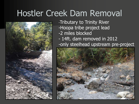#### Hostler Creek Dam Removal



- -Tributary to Trinity River
- -Hoopa tribe project lead
- -2 miles blocked
- 14ft. dam removed in 2012
- -only steelhead upstream pre-project

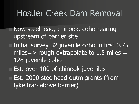#### Hostler Creek Dam Removal

- Now steelhead, chinook, coho rearing upstream of barrier site
- Initial survey 32 juvenile coho in first 0.75 miles= $>$  rough extrapolate to 1.5 miles = 128 juvenile coho
- **Est. over 100 of chinook juveniles** 
	- Est. 2000 steelhead outmigrants (from fyke trap above barrier)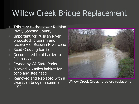#### Willow Creek Bridge Replacement

- Tributary to the Lower Russian River, Sonoma County
- Important for Russian River broodstock program and recovery of Russian River coho
- Road Crossing barrier
- Documented total barrier to fish passage
- Owned by CA State Parks
- Blocked  $\sim$ 6 miles habitat for coho and steelhead
- Removed and Replaced with a clearspan bridge in summer 2011



Willow Creek Crossing before replacement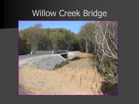# Willow Creek Bridge

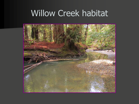#### Willow Creek habitat

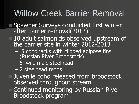#### Willow Creek Barrier Removal

- **Spawner Surveys conducted first winter** after barrier removal(2012)
- **10 adult salmonids observed upstream of** the barrier site in winter 2012-2013
	- 5 coho jacks with clipped adipose fins (Russian River Broodstock)
	- 5 wild male steelhead
	- 2 steelhead redds
	- Juvenile coho released from broodstock observed throughout stream
	- Continued monitoring by Russian River Broodstock program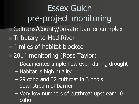Essex Gulch pre-project monitoring Caltrans/County/private barrier complex **Tributary to Mad River**  4 miles of habitat blocked 2014 monitoring (Ross Taylor) – Documented ample flow even during drought – Habitat is high quality

– 29 coho and 32 cuthroat in 3 pools downstream of barrier

– Very low numbers of cutthroat upstream, 0 coho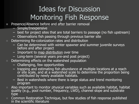#### Ideas for Discussion Monitoring Fish Response

- **Presence/Absence before and after barrier removally** 
	- Simple/Inexpensive
	- best for project sites that are total barriers to passage (no fish upstream)
	- Observations fish passing through previous barrier site
- Determining Re-colonization rates and distribution
	- Can be determined with winter spawner and summer juvenile surveys before and after project
	- Important to map distribution over time
	- Long-term (several years pre-and post project)
- Determining effects on the watershed population
	- Challenging, few opportunities
	- trapping and estimating fish abundance at multiple locations at a reach or site scale, and at a watershed scale to determine the proportion being contributed by newly available habitats.
	- Best in watersheds where there is large status and trend monitoring program
- Also important to monitor physical variables such as available habitat, habitat quality (e.g., pool number, frequency, LWD), channel slope and substrate type
- Common Restoration Technique, but few studies of fish response published in the scientific literature